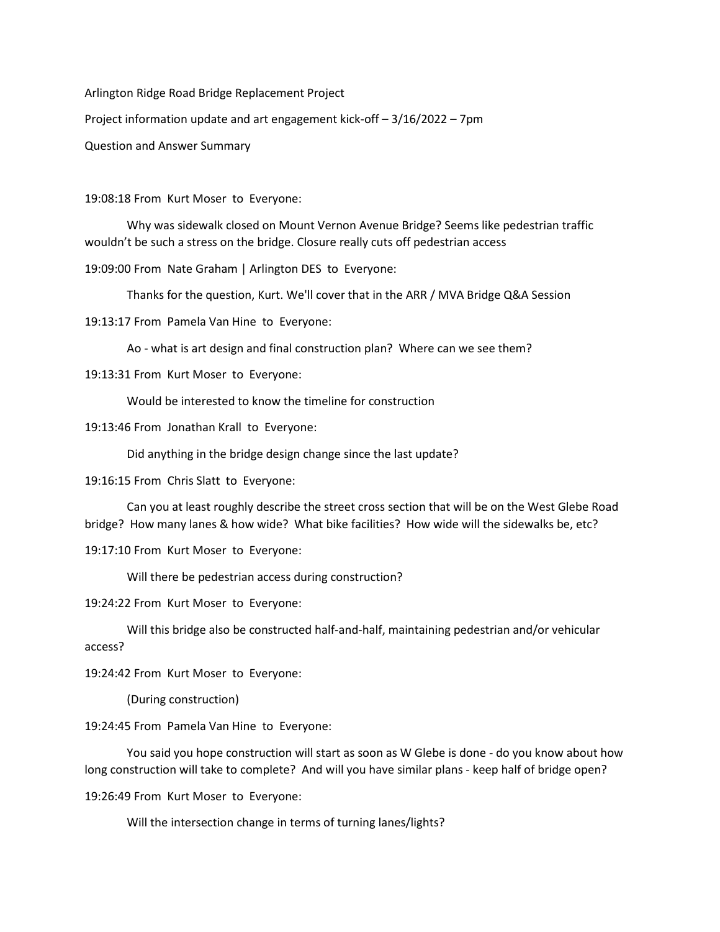Arlington Ridge Road Bridge Replacement Project

Project information update and art engagement kick-off – 3/16/2022 – 7pm

Question and Answer Summary

19:08:18 From Kurt Moser to Everyone:

Why was sidewalk closed on Mount Vernon Avenue Bridge? Seems like pedestrian traffic wouldn't be such a stress on the bridge. Closure really cuts off pedestrian access

19:09:00 From Nate Graham | Arlington DES to Everyone:

Thanks for the question, Kurt. We'll cover that in the ARR / MVA Bridge Q&A Session

19:13:17 From Pamela Van Hine to Everyone:

Ao - what is art design and final construction plan? Where can we see them?

19:13:31 From Kurt Moser to Everyone:

Would be interested to know the timeline for construction

19:13:46 From Jonathan Krall to Everyone:

Did anything in the bridge design change since the last update?

19:16:15 From Chris Slatt to Everyone:

Can you at least roughly describe the street cross section that will be on the West Glebe Road bridge? How many lanes & how wide? What bike facilities? How wide will the sidewalks be, etc?

19:17:10 From Kurt Moser to Everyone:

Will there be pedestrian access during construction?

19:24:22 From Kurt Moser to Everyone:

Will this bridge also be constructed half-and-half, maintaining pedestrian and/or vehicular access?

19:24:42 From Kurt Moser to Everyone:

(During construction)

19:24:45 From Pamela Van Hine to Everyone:

You said you hope construction will start as soon as W Glebe is done - do you know about how long construction will take to complete? And will you have similar plans - keep half of bridge open?

19:26:49 From Kurt Moser to Everyone:

Will the intersection change in terms of turning lanes/lights?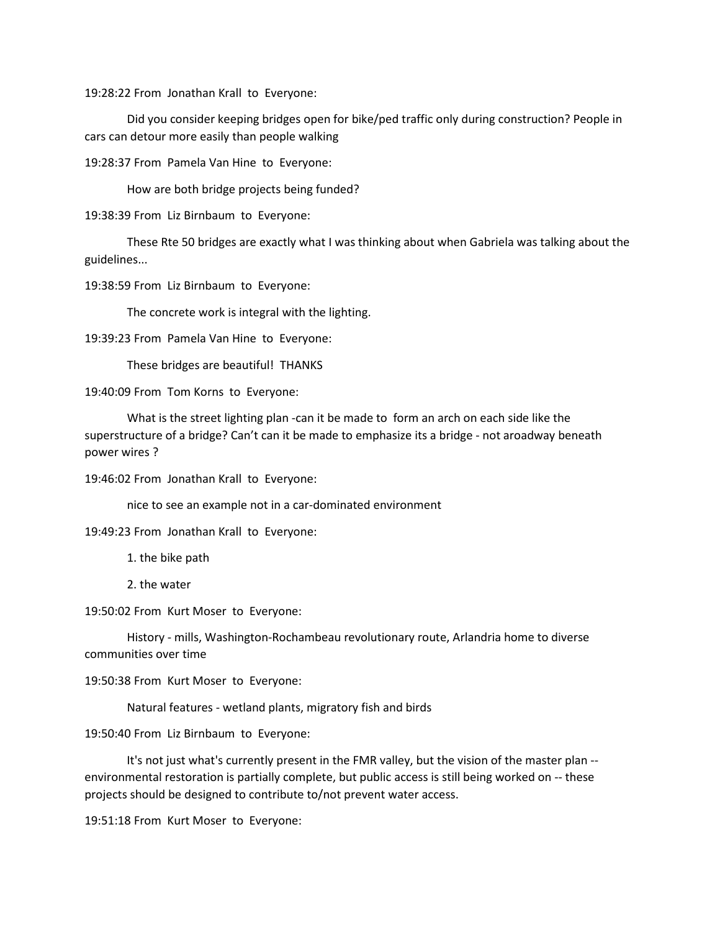19:28:22 From Jonathan Krall to Everyone:

Did you consider keeping bridges open for bike/ped traffic only during construction? People in cars can detour more easily than people walking

19:28:37 From Pamela Van Hine to Everyone:

How are both bridge projects being funded?

19:38:39 From Liz Birnbaum to Everyone:

These Rte 50 bridges are exactly what I was thinking about when Gabriela was talking about the guidelines...

19:38:59 From Liz Birnbaum to Everyone:

The concrete work is integral with the lighting.

19:39:23 From Pamela Van Hine to Everyone:

These bridges are beautiful! THANKS

19:40:09 From Tom Korns to Everyone:

What is the street lighting plan -can it be made to form an arch on each side like the superstructure of a bridge? Can't can it be made to emphasize its a bridge - not aroadway beneath power wires ?

19:46:02 From Jonathan Krall to Everyone:

nice to see an example not in a car-dominated environment

19:49:23 From Jonathan Krall to Everyone:

1. the bike path

2. the water

19:50:02 From Kurt Moser to Everyone:

History - mills, Washington-Rochambeau revolutionary route, Arlandria home to diverse communities over time

19:50:38 From Kurt Moser to Everyone:

Natural features - wetland plants, migratory fish and birds

19:50:40 From Liz Birnbaum to Everyone:

It's not just what's currently present in the FMR valley, but the vision of the master plan - environmental restoration is partially complete, but public access is still being worked on -- these projects should be designed to contribute to/not prevent water access.

19:51:18 From Kurt Moser to Everyone: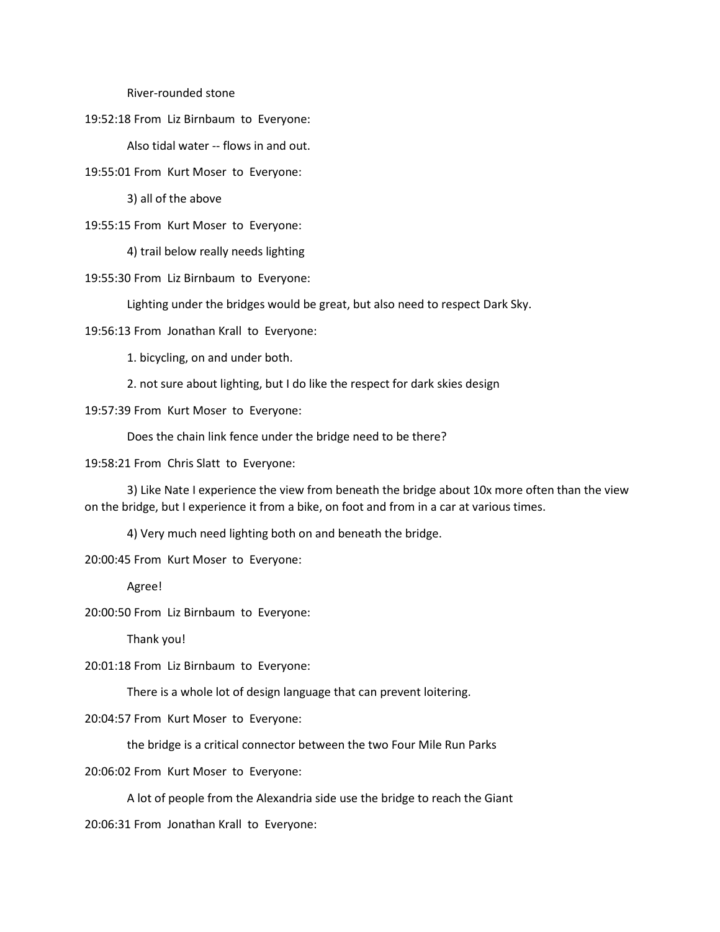River-rounded stone

19:52:18 From Liz Birnbaum to Everyone:

Also tidal water -- flows in and out.

19:55:01 From Kurt Moser to Everyone:

3) all of the above

19:55:15 From Kurt Moser to Everyone:

4) trail below really needs lighting

19:55:30 From Liz Birnbaum to Everyone:

Lighting under the bridges would be great, but also need to respect Dark Sky.

19:56:13 From Jonathan Krall to Everyone:

1. bicycling, on and under both.

2. not sure about lighting, but I do like the respect for dark skies design

19:57:39 From Kurt Moser to Everyone:

Does the chain link fence under the bridge need to be there?

19:58:21 From Chris Slatt to Everyone:

3) Like Nate I experience the view from beneath the bridge about 10x more often than the view on the bridge, but I experience it from a bike, on foot and from in a car at various times.

4) Very much need lighting both on and beneath the bridge.

20:00:45 From Kurt Moser to Everyone:

Agree!

20:00:50 From Liz Birnbaum to Everyone:

Thank you!

20:01:18 From Liz Birnbaum to Everyone:

There is a whole lot of design language that can prevent loitering.

20:04:57 From Kurt Moser to Everyone:

the bridge is a critical connector between the two Four Mile Run Parks

20:06:02 From Kurt Moser to Everyone:

A lot of people from the Alexandria side use the bridge to reach the Giant

20:06:31 From Jonathan Krall to Everyone: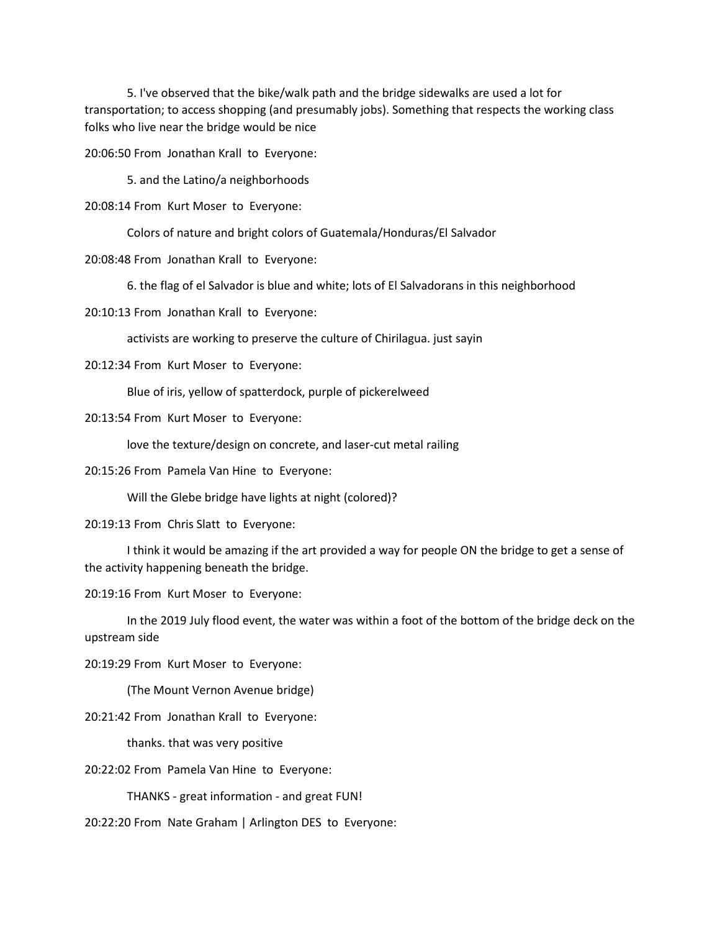5. I've observed that the bike/walk path and the bridge sidewalks are used a lot for transportation; to access shopping (and presumably jobs). Something that respects the working class folks who live near the bridge would be nice

20:06:50 From Jonathan Krall to Everyone:

5. and the Latino/a neighborhoods

20:08:14 From Kurt Moser to Everyone:

Colors of nature and bright colors of Guatemala/Honduras/El Salvador

20:08:48 From Jonathan Krall to Everyone:

6. the flag of el Salvador is blue and white; lots of El Salvadorans in this neighborhood

20:10:13 From Jonathan Krall to Everyone:

activists are working to preserve the culture of Chirilagua. just sayin

20:12:34 From Kurt Moser to Everyone:

Blue of iris, yellow of spatterdock, purple of pickerelweed

20:13:54 From Kurt Moser to Everyone:

love the texture/design on concrete, and laser-cut metal railing

20:15:26 From Pamela Van Hine to Everyone:

Will the Glebe bridge have lights at night (colored)?

20:19:13 From Chris Slatt to Everyone:

I think it would be amazing if the art provided a way for people ON the bridge to get a sense of the activity happening beneath the bridge.

20:19:16 From Kurt Moser to Everyone:

In the 2019 July flood event, the water was within a foot of the bottom of the bridge deck on the upstream side

20:19:29 From Kurt Moser to Everyone:

(The Mount Vernon Avenue bridge)

20:21:42 From Jonathan Krall to Everyone:

thanks. that was very positive

20:22:02 From Pamela Van Hine to Everyone:

THANKS - great information - and great FUN!

20:22:20 From Nate Graham | Arlington DES to Everyone: